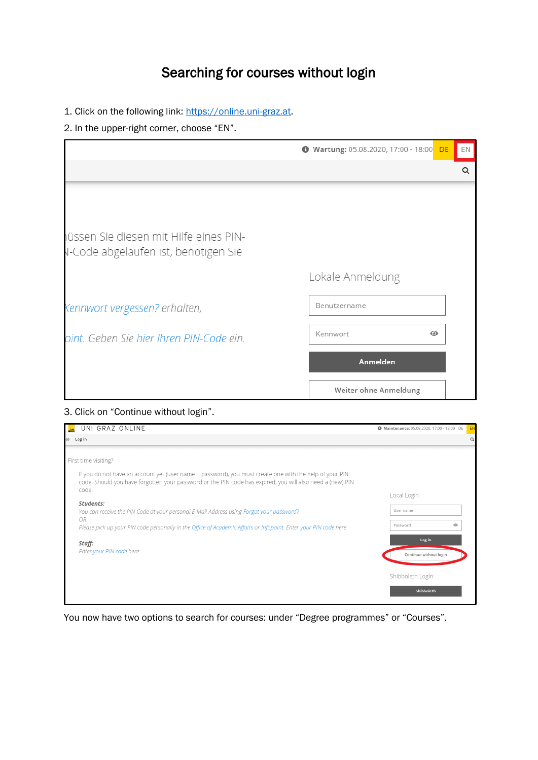# Searching for courses without login

1. Click on the following link: [https://online.uni-graz.at.](https://online.uni-graz.at/)

#### 2. In the upper-right corner, choose "EN".

|                                                                                | Wartung: 05.08.2020, 17:00 - 18:00 DE | EN |
|--------------------------------------------------------------------------------|---------------------------------------|----|
|                                                                                |                                       | Q  |
|                                                                                |                                       |    |
|                                                                                |                                       |    |
| jüssen Sie diesen mit Hilfe eines PIN-<br>V-Code abgelaufen ist, benötigen Sie |                                       |    |
|                                                                                | Lokale Anmeldung                      |    |
| Kennwort vergessen? erhalten,                                                  | Benutzername                          |    |
| oint. Geben Sie hier Ihren PIN-Code ein.                                       | Kennwort<br>$\odot$                   |    |
|                                                                                | Anmelden                              |    |
|                                                                                | Weiter ohne Anmeldung                 |    |

#### 3. Click on "Continue without login".

| UNI GRAZ ONLINE                                                                                                                                                                                                               | Maintenance: 05.08.2020, 17:00 - 18:00 DE | EN       |
|-------------------------------------------------------------------------------------------------------------------------------------------------------------------------------------------------------------------------------|-------------------------------------------|----------|
| 备 Log in                                                                                                                                                                                                                      |                                           | $\Omega$ |
| First time visiting?                                                                                                                                                                                                          |                                           |          |
| If you do not have an account yet (user name + password), you must create one with the help of your PIN<br>code. Should you have forgotten your password or the PIN code has expired, you will also need a (new) PIN<br>code. |                                           |          |
|                                                                                                                                                                                                                               | Local Login                               |          |
| Students:<br>You can receive the PIN Code at your personal E-Mail Address using Forgot your password?,                                                                                                                        | User name                                 |          |
| 0R<br>Please pick up your PIN code personally in the Office of Academic Affairs or Infopoint. Enter your PIN code here                                                                                                        | Password<br>◉                             |          |
| Staff:                                                                                                                                                                                                                        | Log in                                    |          |
| Enter your PIN code here.                                                                                                                                                                                                     | Continue without login                    |          |
|                                                                                                                                                                                                                               | Shibboleth Login                          |          |
|                                                                                                                                                                                                                               | Shibboleth                                |          |

You now have two options to search for courses: under "Degree programmes" or "Courses".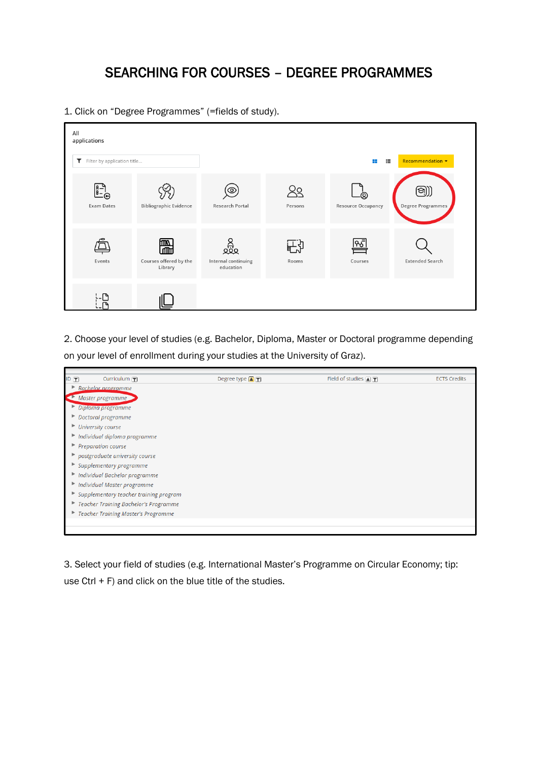### SEARCHING FOR COURSES – DEGREE PROGRAMMES

1. Click on "Degree Programmes" (=fields of study).

| All<br>applications              |                                        |                                                      |               |                                     |                                      |
|----------------------------------|----------------------------------------|------------------------------------------------------|---------------|-------------------------------------|--------------------------------------|
| Filter by application title<br>T |                                        |                                                      |               | 挂                                   | Recommendation $\blacktriangleright$ |
| $\mathbf{B}^{-}$<br>Exam Dates   | <b>Bibliographic Evidence</b>          | ල<br>Research Portal                                 | २०<br>Persons | .<br>இ<br><b>Resource Occupancy</b> | (නු))<br>Degree Programmes           |
| Events                           | 圌<br>Courses offered by the<br>Library | ್ಲಿಸ್ಟ್ರೊ<br>೩೮೩<br>Internal continuing<br>education | ᆘᆟ<br>Rooms   | श्री<br>Courses                     | <b>Extended Search</b>               |
|                                  |                                        |                                                      |               |                                     |                                      |

2. Choose your level of studies (e.g. Bachelor, Diploma, Master or Doctoral programme depending on your level of enrollment during your studies at the University of Graz).



3. Select your field of studies (e.g. International Master's Programme on Circular Economy; tip: use Ctrl + F) and click on the blue title of the studies.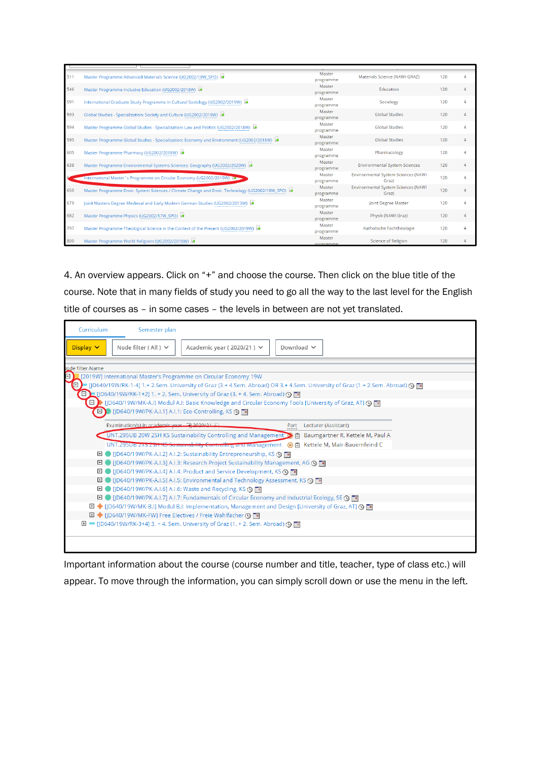| 511 | Master Programme Advanced Materials Science (UG2002/18W_SPO)                                       | Master<br>programme | Materials Science (NAWI-GRAZ)                       | 120 |  |
|-----|----------------------------------------------------------------------------------------------------|---------------------|-----------------------------------------------------|-----|--|
| 546 | Master Programme Inclusive Education (UG2002/2018W)                                                | Master<br>programme | <b>Education</b>                                    | 120 |  |
| 591 | International Graduate Study Programme in Cultural Sociology (UG2002/2019W)                        | Master<br>programme | Sociology                                           | 120 |  |
| 593 | Global Studies - Specialization: Society and Culture (UG2002/2018W)                                | Master<br>programme | <b>Global Studies</b>                               | 120 |  |
| 594 | Master Programme Global Studies - Specialization: Law and Politics (UG2002/2018W)                  | Master<br>programme | <b>Global Studies</b>                               | 120 |  |
| 595 | Master Programme Global Studies - Specialization: Economy and Environment (UG2002/2018W)           | Master<br>programme | <b>Global Studies</b>                               | 120 |  |
| 605 | Master Programme Pharmacy (UG2002/2018W)                                                           | Master<br>programme | Pharmacology                                        | 120 |  |
| 638 | Master Programme Environmental Systems Sciences: Geography (UG2002/2020W)                          | Master<br>programme | <b>Environmental System Sciences</b>                | 120 |  |
|     | International Master's Programme on Circular Economy (UG2002/2019W) IC                             | Master<br>programme | <b>Environmental System Sciences (NAWI</b><br>Graz) | 120 |  |
| 650 | Master Programme Envir. System Sciences / Climate Change and Envir. Technology (UG2002/18W_SPO) is | Master<br>programme | <b>Environmental System Sciences (NAWI</b><br>Graz) | 120 |  |
| 679 | loint Masters Degree Medieval and Early Modern German Studies (UG2002/2013W)                       | Master<br>programme | Joint Degree Master                                 | 120 |  |
| 682 | Master Programme Physics (UG2002/17W_SPO)                                                          | Master<br>programme | Physik (NAWI Graz)                                  | 120 |  |
| 797 | Master Programme Theological Science in the Context of the Present (UG2002/2019W)                  | Master<br>programme | Katholische Fachtheologie                           | 120 |  |
| 800 | Master Programme World Religions (UG2002/2016W)                                                    | Master<br>programme | <b>Science of Religion</b>                          | 120 |  |

4. An overview appears. Click on "+" and choose the course. Then click on the blue title of the course. Note that in many fields of study you need to go all the way to the last level for the English title of courses as – in some cases – the levels in between are not yet translated.

| Curriculum       | Semester plan                                               |                                                                                                                  |                                                                                                                                 |
|------------------|-------------------------------------------------------------|------------------------------------------------------------------------------------------------------------------|---------------------------------------------------------------------------------------------------------------------------------|
| Display $\vee$   | Node filter (All ) $\vee$                                   | Academic year (2020/21) $\vee$                                                                                   | Download $\vee$                                                                                                                 |
| lode filter-Name |                                                             |                                                                                                                  |                                                                                                                                 |
| Ξ                |                                                             | [2019W] International Master's Programme on Circular Economy 19W                                                 |                                                                                                                                 |
| Θ                |                                                             |                                                                                                                  | [JD640/19W/RK-1-4] 1.+ 2.Sem. University of Graz (3.+ 4.Sem. Abroad) OR 3.+ 4.Sem. University of Graz (1.+ 2.Sem. Abroad) @ Fin |
|                  |                                                             | □ 1 [JD640/19W/RK-1+2] 1. + 2. Sem. University of Graz (3. + 4. Sem. Abroad) ①                                   |                                                                                                                                 |
|                  |                                                             |                                                                                                                  | □ 》 [JD640/19W/MK-A.I] Modul A.I: Basic Knowledge and Circular Economy Tools [University of Graz, AT] ① ■                       |
|                  | 日) [JD640/19W/PK-A.I.1] A.I.1: Eco-Controlling, KS (9     1 |                                                                                                                  |                                                                                                                                 |
|                  |                                                             |                                                                                                                  |                                                                                                                                 |
|                  | Examination(s) in academic year (3) 2020/21                 |                                                                                                                  | Lecturer (Assistant)<br>Part                                                                                                    |
|                  |                                                             |                                                                                                                  | UNT.295UB 20W 2SH KS Sustainability Controlling and Management (C) [2] Baumgartner R, Kettele M, Paul A                         |
|                  |                                                             |                                                                                                                  | UNT.2950B Z15 Z311KG Sustainability Controlling and Management (0 F) Kettele M, Mair-Bauernfeind C                              |
|                  |                                                             |                                                                                                                  |                                                                                                                                 |
| ⊡                |                                                             | ID640/19W/PK-A.I.3] A.I.3: Research Project Sustainability Management, AG ( III                                  |                                                                                                                                 |
| ⊞                |                                                             | ID640/19W/PK-A.I.4] A.I.4: Product and Service Development, KS O                                                 |                                                                                                                                 |
| ⊡                |                                                             | ID640/19W/PK-A.I.5] A.I.5: Environmental and Technology Assessment, KS (9                                        |                                                                                                                                 |
|                  |                                                             | □   [JD640/19W/PK-A.I.6] A.I.6: Waste and Recycling, KS ① ■                                                      |                                                                                                                                 |
|                  |                                                             | <b>El</b> ● [JD640/19W/PK-A.I.7] A.I.7: Fundamentals of Circular Economy and Industrial Ecology, SE <b>○</b> Fil |                                                                                                                                 |
|                  |                                                             |                                                                                                                  | <b>EI ◆</b> [JD640/19W/MK-B.I] Modul B.I: Implementation, Management and Design [University of Graz, AT] <b>①</b> III           |
|                  |                                                             | 日 ◆ [JD640/19W/MK-FW] Free Electives / Freie Wahlfächer ① ■                                                      |                                                                                                                                 |
|                  |                                                             | $\Box$ III [D640/19W/RK-3+4] 3. + 4. Sem. University of Graz (1. + 2. Sem. Abroad) $\bigcirc$ [III               |                                                                                                                                 |
|                  |                                                             |                                                                                                                  |                                                                                                                                 |
|                  |                                                             |                                                                                                                  |                                                                                                                                 |

Important information about the course (course number and title, teacher, type of class etc.) will appear. To move through the information, you can simply scroll down or use the menu in the left.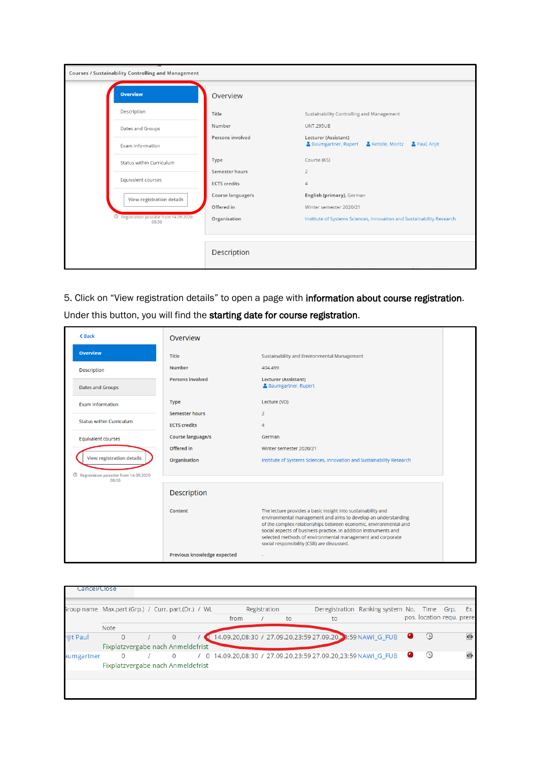| Courses / Sustainability Controlling and Management         |                                       |                                                                                |
|-------------------------------------------------------------|---------------------------------------|--------------------------------------------------------------------------------|
| <b>Overview</b>                                             | Overview                              |                                                                                |
| Description                                                 | Title                                 | Sustainability Controlling and Management                                      |
| Dates and Groups                                            | Number                                | <b>UNT.295UB</b>                                                               |
| Exam Information                                            | Persons involved                      | Lecturer (Assistant)<br>& Baumgartner, Rupert & Kettele, Moritz & Paul, Arijit |
| Status within Curriculum                                    | Type                                  | Course (KS)                                                                    |
| Equivalent courses                                          | Semester hours<br><b>ECTS</b> credits | $\overline{2}$<br>$\overline{4}$                                               |
| View registration details                                   | Course language/s                     | English (primary), German                                                      |
|                                                             | Offered in                            | Winter semester 2020/21                                                        |
| <sup>©</sup> Registration possible from 14.09.2020<br>08:30 | Organisation                          | Institute of Systems Sciences, Innovation and Sustainability Research          |
|                                                             |                                       |                                                                                |
|                                                             | Description                           |                                                                                |

5. Click on "View registration details" to open a page with information about course registration.

| Under this button, you will find the starting date for course registration. |  |
|-----------------------------------------------------------------------------|--|
|                                                                             |  |

| <b>&lt; Back</b>                                          | Overview                    |                                                                                                                                                                                                                                                                                                                                                                                   |  |
|-----------------------------------------------------------|-----------------------------|-----------------------------------------------------------------------------------------------------------------------------------------------------------------------------------------------------------------------------------------------------------------------------------------------------------------------------------------------------------------------------------|--|
| <b>Overview</b>                                           | <b>Title</b>                | Sustainability and Environmental Management                                                                                                                                                                                                                                                                                                                                       |  |
| Description                                               | <b>Number</b>               | 404.499                                                                                                                                                                                                                                                                                                                                                                           |  |
| Dates and Groups                                          | <b>Persons involved</b>     | <b>Lecturer (Assistant)</b><br><b>A</b> Baumgartner, Rupert                                                                                                                                                                                                                                                                                                                       |  |
| <b>Exam Information</b>                                   | <b>Type</b>                 | Lecture (VO)                                                                                                                                                                                                                                                                                                                                                                      |  |
|                                                           | <b>Semester hours</b>       | $\overline{2}$                                                                                                                                                                                                                                                                                                                                                                    |  |
| <b>Status within Curriculum</b>                           | <b>ECTS</b> credits         | 4                                                                                                                                                                                                                                                                                                                                                                                 |  |
| <b>Equivalent courses</b>                                 | <b>Course language/s</b>    | German                                                                                                                                                                                                                                                                                                                                                                            |  |
|                                                           | Offered in                  | Winter semester 2020/21                                                                                                                                                                                                                                                                                                                                                           |  |
| <b>View registration details</b>                          | Organisation                | Institute of Systems Sciences, Innovation and Sustainability Research                                                                                                                                                                                                                                                                                                             |  |
| $\odot$<br>Registration possible from 14.09.2020<br>08:30 |                             |                                                                                                                                                                                                                                                                                                                                                                                   |  |
|                                                           | <b>Description</b>          |                                                                                                                                                                                                                                                                                                                                                                                   |  |
|                                                           | Content                     | The lecture provides a basic insight into sustainability and<br>environmental management and aims to develop an understanding<br>of the complex relationships between economic, environmental and<br>social aspects of business practice. In addition instruments and<br>selected methods of environmental management and corporate<br>social responsibility (CSR) are discussed. |  |
|                                                           | Previous knowledge expected |                                                                                                                                                                                                                                                                                                                                                                                   |  |

| Group name Max.part (Grp.) / Curr. part.(Dr.) / WL |             |              |                                   |  |      | Registration |    |    | Deregistration Ranking system No. Time Grp. Ex.               |                            |           |
|----------------------------------------------------|-------------|--------------|-----------------------------------|--|------|--------------|----|----|---------------------------------------------------------------|----------------------------|-----------|
|                                                    |             |              |                                   |  | from |              | to | to |                                                               | pos. location regu, prered |           |
|                                                    | <b>Note</b> |              |                                   |  |      |              |    |    |                                                               |                            |           |
| ijit Paul                                          |             | $\mathbf{0}$ | $\mathbf{0}$                      |  |      |              |    |    | 14.09.20,08:30 / 27.09.20,23:59 27.09.20, 3:59 NAWI_G_FUB     | ⊙                          | $\bullet$ |
|                                                    |             |              | Fixplatzvergabe nach Anmeldefrist |  |      |              |    |    |                                                               |                            |           |
| aumgartner                                         |             | $\Omega$     | $\Omega$                          |  |      |              |    |    | / 0 14.09.20,08:30 / 27.09.20,23:59 27.09.20,23:59 NAWI G FUB | у                          | ō         |
|                                                    |             |              | Fixplatzvergabe nach Anmeldefrist |  |      |              |    |    |                                                               |                            |           |
|                                                    |             |              |                                   |  |      |              |    |    |                                                               |                            |           |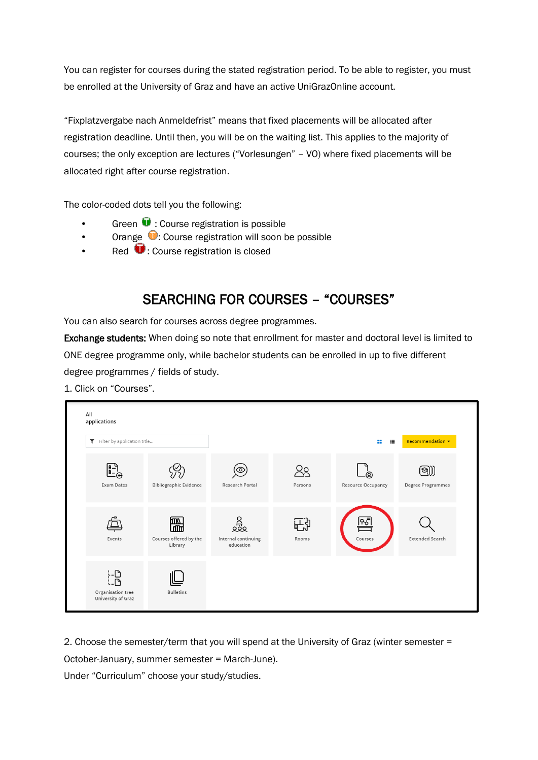You can register for courses during the stated registration period. To be able to register, you must be enrolled at the University of Graz and have an active UniGrazOnline account.

"Fixplatzvergabe nach Anmeldefrist" means that fixed placements will be allocated after registration deadline. Until then, you will be on the waiting list. This applies to the majority of courses; the only exception are lectures ("Vorlesungen" – VO) where fixed placements will be allocated right after course registration.

The color-coded dots tell you the following:

- Green  $\blacksquare$  : Course registration is possible
- Orange  $\bigcirc$ : Course registration will soon be possible
- Red **U**: Course registration is closed

## SEARCHING FOR COURSES – "COURSES"

You can also search for courses across degree programmes.

Exchange students: When doing so note that enrollment for master and doctoral level is limited to ONE degree programme only, while bachelor students can be enrolled in up to five different degree programmes / fields of study.

1. Click on "Courses".



2. Choose the semester/term that you will spend at the University of Graz (winter semester =

October-January, summer semester = March-June).

Under "Curriculum" choose your study/studies.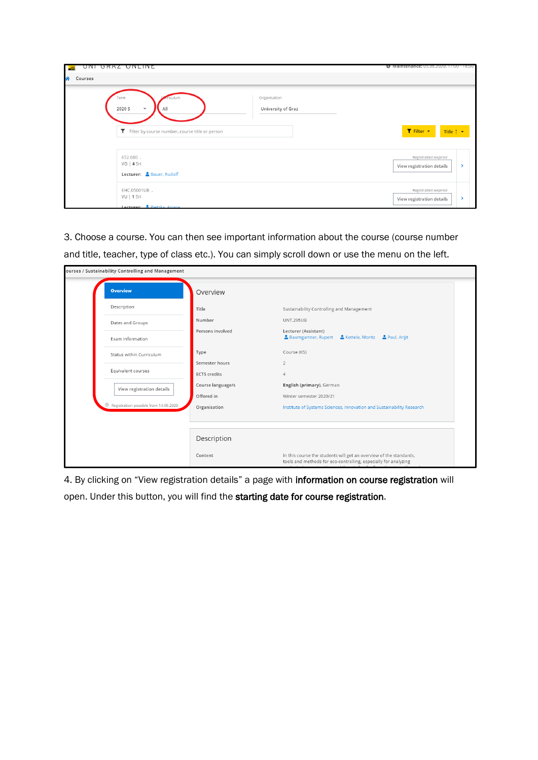| UNI GRAZ UNLINE<br>$\frac{UN}{N}$                                                                             |                                    | Maintenance: 05.08.2020, 17:00 - 18:00                             |
|---------------------------------------------------------------------------------------------------------------|------------------------------------|--------------------------------------------------------------------|
| 谷<br>Courses                                                                                                  |                                    |                                                                    |
| Term<br>iculum<br>All<br>2020 S<br>$\overline{\mathbf{v}}$<br>Filter by course number, course title or person | Organisation<br>University of Graz | T Filter +<br>Title $\uparrow$ $\star$                             |
| 652.680.<br>$VO$   4 $SH$<br>Lecturer: <b>&amp;</b> Bauer, Rudolf                                             |                                    | Registration expired<br>View registration details<br>$\rightarrow$ |
| EHC.05001UB.<br>$VU$   1 SH<br>Lecturer: <b>C</b> Diatzka Ariana                                              |                                    | Registration expired<br>View registration details<br>$\rightarrow$ |

3. Choose a course. You can then see important information about the course (course number

and title, teacher, type of class etc.). You can simply scroll down or use the menu on the left.

| ourses / Sustainability Controlling and Management |                     |                                                                                                                                       |  |  |
|----------------------------------------------------|---------------------|---------------------------------------------------------------------------------------------------------------------------------------|--|--|
| <b>Overview</b>                                    | Overview            |                                                                                                                                       |  |  |
| Description                                        | Title               | Sustainability Controlling and Management                                                                                             |  |  |
| Dates and Groups                                   | Number              | <b>UNT.295UB</b>                                                                                                                      |  |  |
| Exam Information                                   | Persons involved    | Lecturer (Assistant)<br>Baumgartner, Rupert<br>& Kettele, Moritz & Paul, Arijit                                                       |  |  |
| Status within Curriculum                           | Type                | Course (KS)                                                                                                                           |  |  |
| Equivalent courses                                 | Semester hours      | $\overline{2}$                                                                                                                        |  |  |
|                                                    | <b>ECTS</b> credits | $\overline{4}$                                                                                                                        |  |  |
| View registration details                          | Course language/s   | English (primary), German                                                                                                             |  |  |
|                                                    | Offered in          | Winter semester 2020/21                                                                                                               |  |  |
| <sup>①</sup> Registration possible from 14.09.2020 | Organisation        | Institute of Systems Sciences, Innovation and Sustainability Research                                                                 |  |  |
|                                                    |                     |                                                                                                                                       |  |  |
|                                                    | Description         |                                                                                                                                       |  |  |
|                                                    | Content             | In this course the students will get an overview of the standards,<br>tools and methods for eco-controlling, especially for analyzing |  |  |

4. By clicking on "View registration details" a page with information on course registration will open. Under this button, you will find the starting date for course registration.